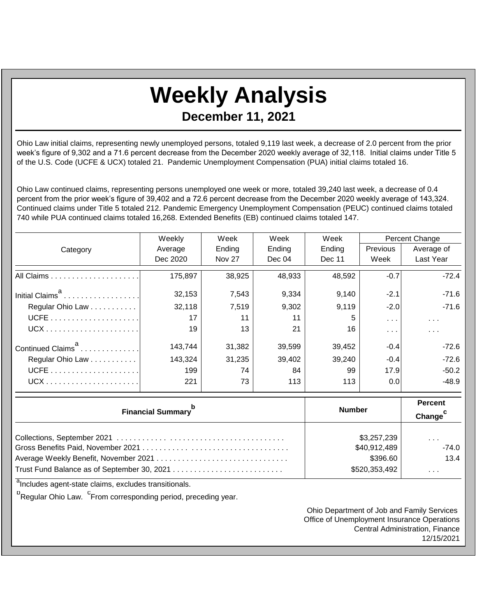## **Weekly Analysis**

**December 11, 2021**

Ohio Law initial claims, representing newly unemployed persons, totaled 9,119 last week, a decrease of 2.0 percent from the prior week's figure of 9,302 and a 71.6 percent decrease from the December 2020 weekly average of 32,118. Initial claims under Title 5 of the U.S. Code (UCFE & UCX) totaled 21. Pandemic Unemployment Compensation (PUA) initial claims totaled 16.

Ohio Law continued claims, representing persons unemployed one week or more, totaled 39,240 last week, a decrease of 0.4 percent from the prior week's figure of 39,402 and a 72.6 percent decrease from the December 2020 weekly average of 143,324. Continued claims under Title 5 totaled 212. Pandemic Emergency Unemployment Compensation (PEUC) continued claims totaled 740 while PUA continued claims totaled 16,268. Extended Benefits (EB) continued claims totaled 147.

|                               | Weekly   | Week          | Week   | Week   | Percent Change          |                         |
|-------------------------------|----------|---------------|--------|--------|-------------------------|-------------------------|
| Category                      | Average  | Ending        | Ending | Ending | <b>Previous</b>         | Average of              |
|                               | Dec 2020 | <b>Nov 27</b> | Dec 04 | Dec 11 | Week                    | Last Year               |
|                               | 175,897  | 38,925        | 48,933 | 48,592 | $-0.7$                  | $-72.4$                 |
| Initial Claims <sup>a</sup>   | 32,153   | 7,543         | 9,334  | 9,140  | $-2.1$                  | $-71.6$                 |
| Regular Ohio Law              | 32,118   | 7,519         | 9,302  | 9,119  | $-2.0$                  | $-71.6$                 |
|                               | 17       | 11            | 11     | 5      | $\sim 100$ km s $^{-1}$ | $\sim 100$ km s $^{-1}$ |
|                               | 19       | 13            | 21     | 16     | .                       | $\sim$ $\sim$           |
| Continued Claims <sup>a</sup> | 143.744  | 31,382        | 39,599 | 39,452 | $-0.4$                  | $-72.6$                 |
| Regular Ohio Law              | 143,324  | 31,235        | 39,402 | 39,240 | $-0.4$                  | $-72.6$                 |
|                               | 199      | 74            | 84     | 99     | 17.9                    | $-50.2$                 |
|                               | 221      | 73            | 113    | 113    | 0.0                     | -48.9                   |

| <b>Financial Summary</b> <sup>p</sup> | <b>Number</b> | <b>Percent</b><br>Change <sup>c</sup> |
|---------------------------------------|---------------|---------------------------------------|
|                                       | \$3,257,239   | $\cdots$                              |
|                                       | \$40,912,489  | $-74.0$                               |
|                                       | \$396.60      | 13.4                                  |
|                                       | \$520,353,492 | $\sim$ 100 $\pm$                      |

<sup>a</sup>Includes agent-state claims, excludes transitionals.

<sup>b</sup>Regular Ohio Law. <sup>C</sup>From corresponding period, preceding year.

Ohio Department of Job and Family Services Office of Unemployment Insurance Operations Central Administration, Finance 12/15/2021